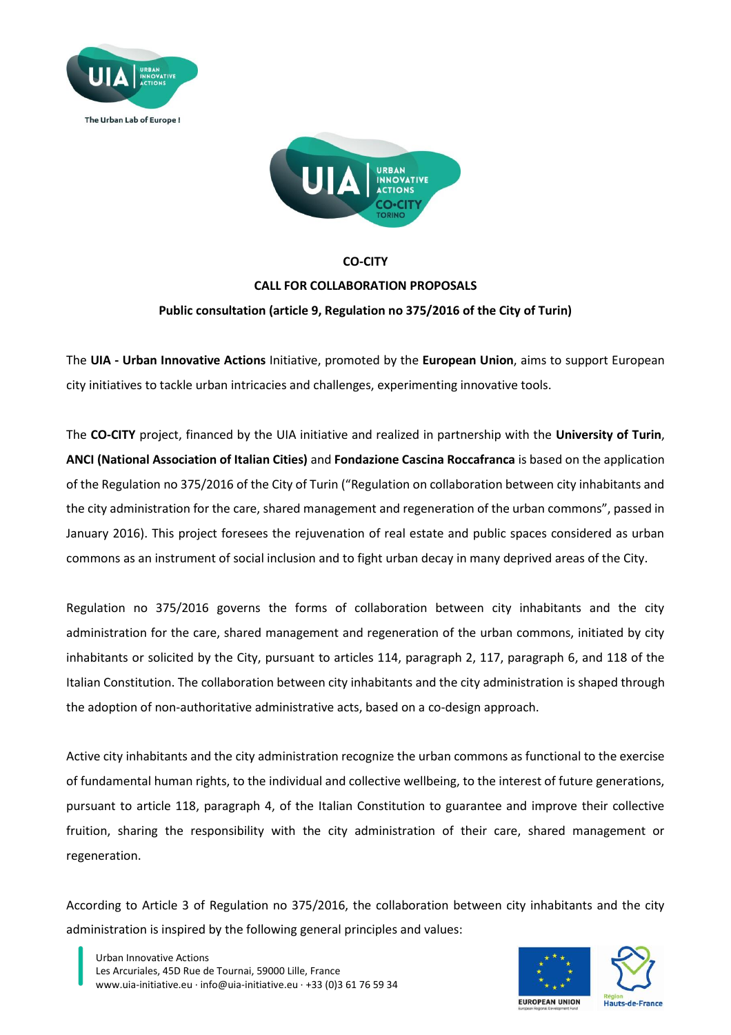



# **CO-CITY CALL FOR COLLABORATION PROPOSALS Public consultation (article 9, Regulation no 375/2016 of the City of Turin)**

The **UIA - Urban Innovative Actions** Initiative, promoted by the **European Union**, aims to support European city initiatives to tackle urban intricacies and challenges, experimenting innovative tools.

The **CO-CITY** project, financed by the UIA initiative and realized in partnership with the **University of Turin**, **ANCI (National Association of Italian Cities)** and **Fondazione Cascina Roccafranca** is based on the application of the Regulation no 375/2016 of the City of Turin ("Regulation on collaboration between city inhabitants and the city administration for the care, shared management and regeneration of the urban commons", passed in January 2016). This project foresees the rejuvenation of real estate and public spaces considered as urban commons as an instrument of social inclusion and to fight urban decay in many deprived areas of the City.

Regulation no 375/2016 governs the forms of collaboration between city inhabitants and the city administration for the care, shared management and regeneration of the urban commons, initiated by city inhabitants or solicited by the City, pursuant to articles 114, paragraph 2, 117, paragraph 6, and 118 of the Italian Constitution. The collaboration between city inhabitants and the city administration is shaped through the adoption of non-authoritative administrative acts, based on a co-design approach.

Active city inhabitants and the city administration recognize the urban commons as functional to the exercise of fundamental human rights, to the individual and collective wellbeing, to the interest of future generations, pursuant to article 118, paragraph 4, of the Italian Constitution to guarantee and improve their collective fruition, sharing the responsibility with the city administration of their care, shared management or regeneration.

According to Article 3 of Regulation no 375/2016, the collaboration between city inhabitants and the city administration is inspired by the following general principles and values:

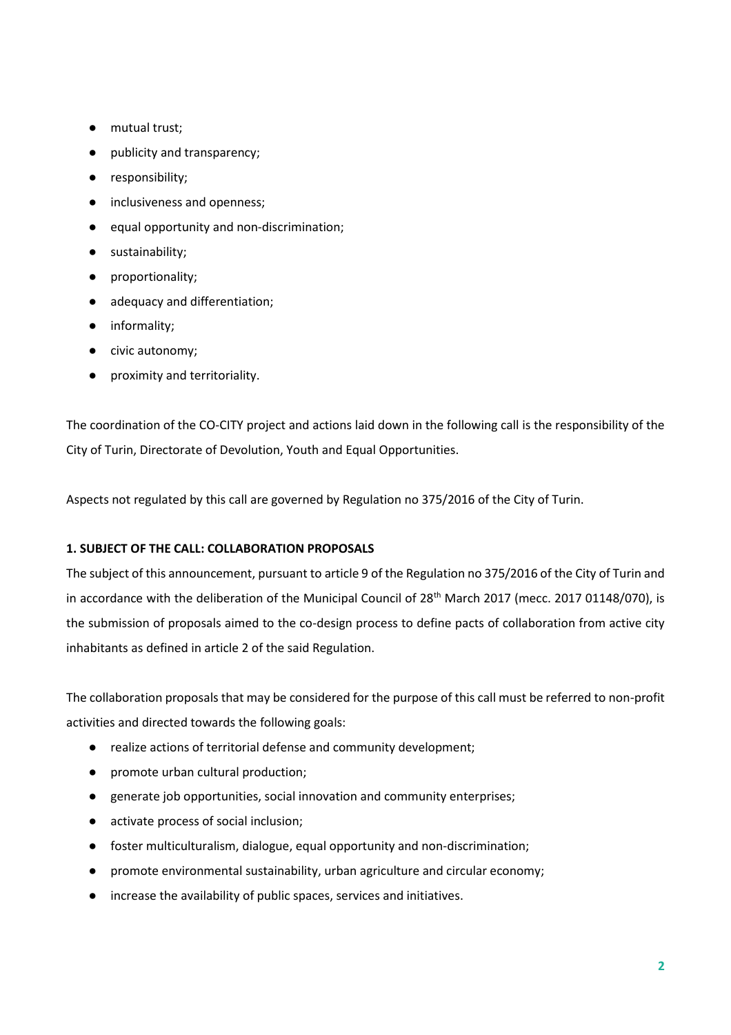- mutual trust;
- publicity and transparency;
- responsibility;
- inclusiveness and openness;
- equal opportunity and non-discrimination;
- sustainability;
- proportionality;
- adequacy and differentiation;
- informality;
- civic autonomy;
- proximity and territoriality.

The coordination of the CO-CITY project and actions laid down in the following call is the responsibility of the City of Turin, Directorate of Devolution, Youth and Equal Opportunities.

Aspects not regulated by this call are governed by Regulation no 375/2016 of the City of Turin.

## **1. SUBJECT OF THE CALL: COLLABORATION PROPOSALS**

The subject of this announcement, pursuant to article 9 of the Regulation no 375/2016 of the City of Turin and in accordance with the deliberation of the Municipal Council of 28<sup>th</sup> March 2017 (mecc. 2017 01148/070), is the submission of proposals aimed to the co-design process to define pacts of collaboration from active city inhabitants as defined in article 2 of the said Regulation.

The collaboration proposals that may be considered for the purpose of this call must be referred to non-profit activities and directed towards the following goals:

- realize actions of territorial defense and community development;
- promote urban cultural production;
- generate job opportunities, social innovation and community enterprises;
- activate process of social inclusion;
- foster multiculturalism, dialogue, equal opportunity and non-discrimination;
- promote environmental sustainability, urban agriculture and circular economy;
- increase the availability of public spaces, services and initiatives.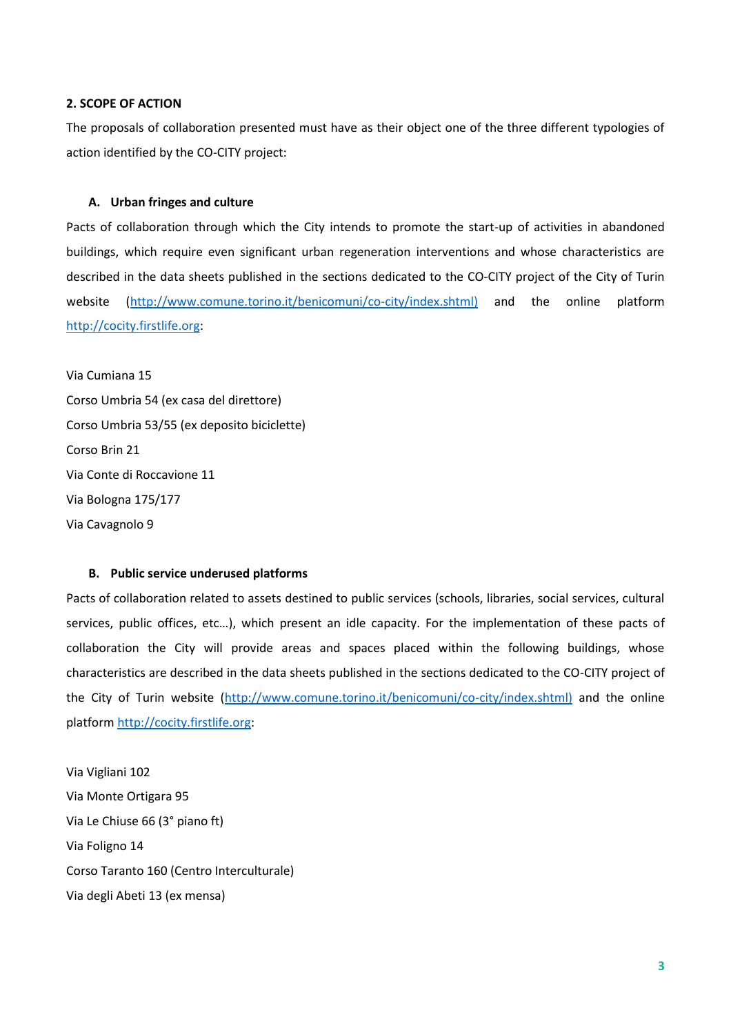#### **2. SCOPE OF ACTION**

The proposals of collaboration presented must have as their object one of the three different typologies of action identified by the CO-CITY project:

#### **A. Urban fringes and culture**

Pacts of collaboration through which the City intends to promote the start-up of activities in abandoned buildings, which require even significant urban regeneration interventions and whose characteristics are described in the data sheets published in the sections dedicated to the CO-CITY project of the City of Turin website [\(http://www.comune.torino.it/benicomuni/co-city/index.shtml\)](http://www.comune.torino.it/benicomuni/co-city/index.shtml)) and the online platform [http://cocity.firstlife.org:](http://cocity.firstlife.org/)

Via Cumiana 15 Corso Umbria 54 (ex casa del direttore) Corso Umbria 53/55 (ex deposito biciclette) Corso Brin 21 Via Conte di Roccavione 11 Via Bologna 175/177 Via Cavagnolo 9

### **B. Public service underused platforms**

Pacts of collaboration related to assets destined to public services (schools, libraries, social services, cultural services, public offices, etc…), which present an idle capacity. For the implementation of these pacts of collaboration the City will provide areas and spaces placed within the following buildings, whose characteristics are described in the data sheets published in the sections dedicated to the CO-CITY project of the City of Turin website [\(http://www.comune.torino.it/benicomuni/co-city/index.shtml\)](http://www.comune.torino.it/benicomuni/co-city/index.shtml)) and the online platfor[m http://cocity.firstlife.org:](http://cocity.firstlife.org/)

Via Vigliani 102 Via Monte Ortigara 95 Via Le Chiuse 66 (3° piano ft) Via Foligno 14 Corso Taranto 160 (Centro Interculturale) Via degli Abeti 13 (ex mensa)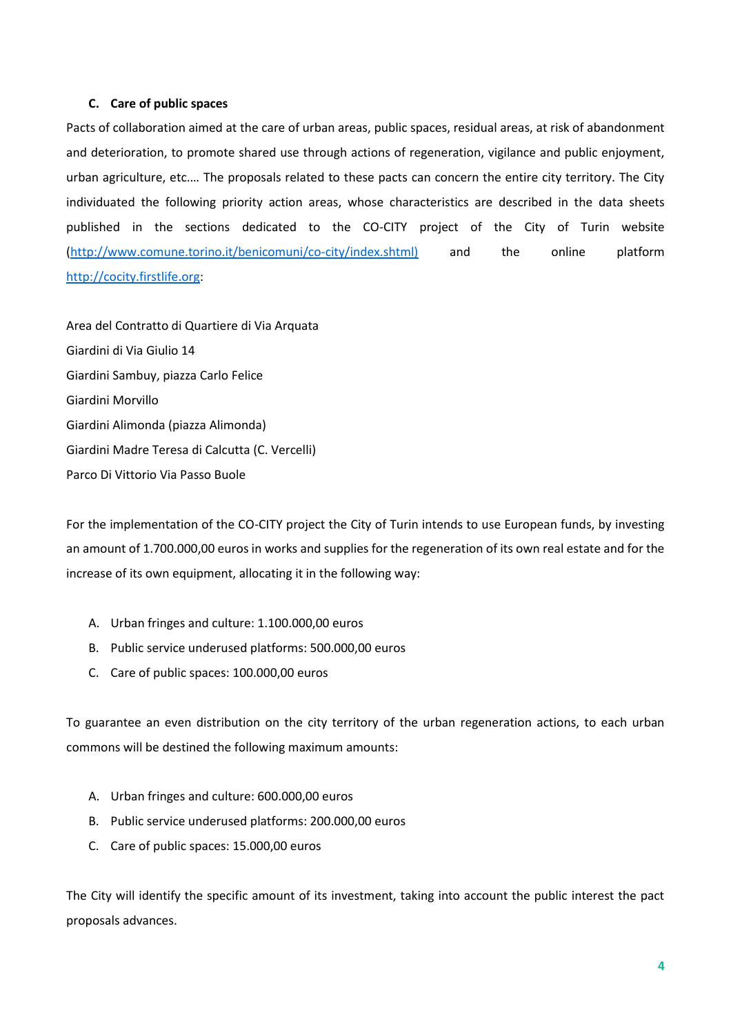## **C. Care of public spaces**

Pacts of collaboration aimed at the care of urban areas, public spaces, residual areas, at risk of abandonment and deterioration, to promote shared use through actions of regeneration, vigilance and public enjoyment, urban agriculture, etc.… The proposals related to these pacts can concern the entire city territory. The City individuated the following priority action areas, whose characteristics are described in the data sheets published in the sections dedicated to the CO-CITY project of the City of Turin website [\(http://www.comune.torino.it/benicomuni/co-city/index.shtml\)](http://www.comune.torino.it/benicomuni/co-city/index.shtml)) and the online platform [http://cocity.firstlife.org:](http://cocity.firstlife.org/)

Area del Contratto di Quartiere di Via Arquata Giardini di Via Giulio 14 Giardini Sambuy, piazza Carlo Felice Giardini Morvillo Giardini Alimonda (piazza Alimonda) Giardini Madre Teresa di Calcutta (C. Vercelli) Parco Di Vittorio Via Passo Buole

For the implementation of the CO-CITY project the City of Turin intends to use European funds, by investing an amount of 1.700.000,00 euros in works and supplies for the regeneration of its own real estate and for the increase of its own equipment, allocating it in the following way:

- A. Urban fringes and culture: 1.100.000,00 euros
- B. Public service underused platforms: 500.000,00 euros
- C. Care of public spaces: 100.000,00 euros

To guarantee an even distribution on the city territory of the urban regeneration actions, to each urban commons will be destined the following maximum amounts:

- A. Urban fringes and culture: 600.000,00 euros
- B. Public service underused platforms: 200.000,00 euros
- C. Care of public spaces: 15.000,00 euros

The City will identify the specific amount of its investment, taking into account the public interest the pact proposals advances.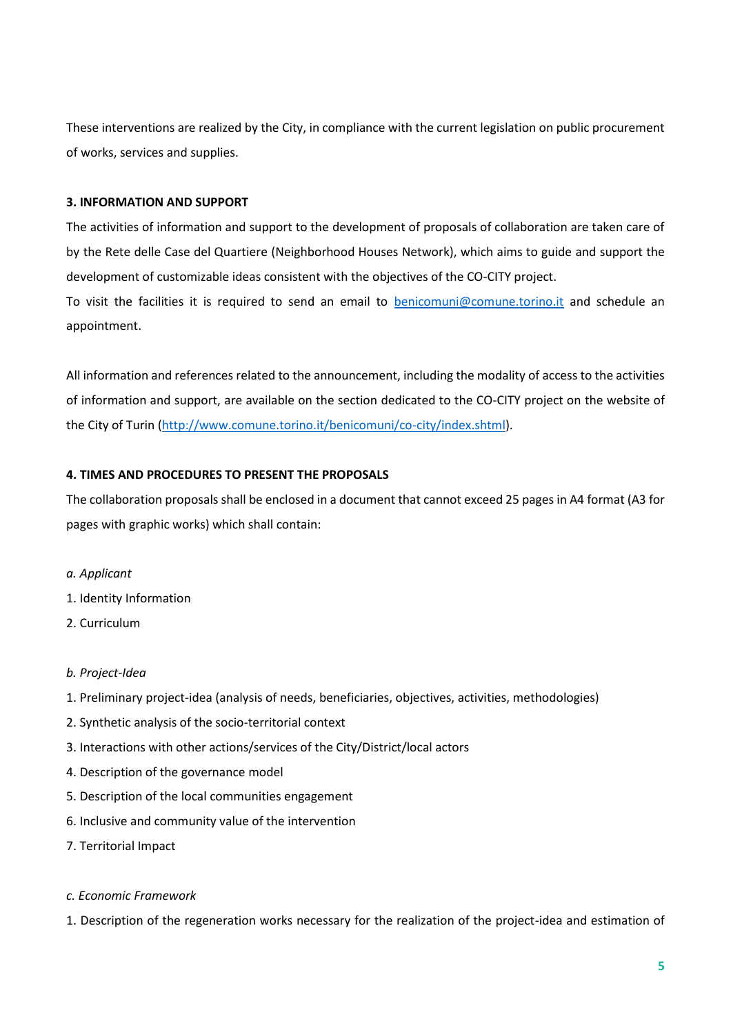These interventions are realized by the City, in compliance with the current legislation on public procurement of works, services and supplies.

## **3. INFORMATION AND SUPPORT**

The activities of information and support to the development of proposals of collaboration are taken care of by the Rete delle Case del Quartiere (Neighborhood Houses Network), which aims to guide and support the development of customizable ideas consistent with the objectives of the CO-CITY project.

To visit the facilities it is required to send an email to **benicomuni@comune.torino.it** and schedule an appointment.

All information and references related to the announcement, including the modality of access to the activities of information and support, are available on the section dedicated to the CO-CITY project on the website of the City of Turin [\(http://www.comune.torino.it/benicomuni/co-city/index.shtml\)](http://www.comune.torino.it/benicomuni/co-city/index.shtml).

# **4. TIMES AND PROCEDURES TO PRESENT THE PROPOSALS**

The collaboration proposals shall be enclosed in a document that cannot exceed 25 pages in A4 format (A3 for pages with graphic works) which shall contain:

- *a. Applicant*
- 1. Identity Information
- 2. Curriculum

# *b. Project-Idea*

- 1. Preliminary project-idea (analysis of needs, beneficiaries, objectives, activities, methodologies)
- 2. Synthetic analysis of the socio-territorial context
- 3. Interactions with other actions/services of the City/District/local actors
- 4. Description of the governance model
- 5. Description of the local communities engagement
- 6. Inclusive and community value of the intervention
- 7. Territorial Impact
- *c. Economic Framework*
- 1. Description of the regeneration works necessary for the realization of the project-idea and estimation of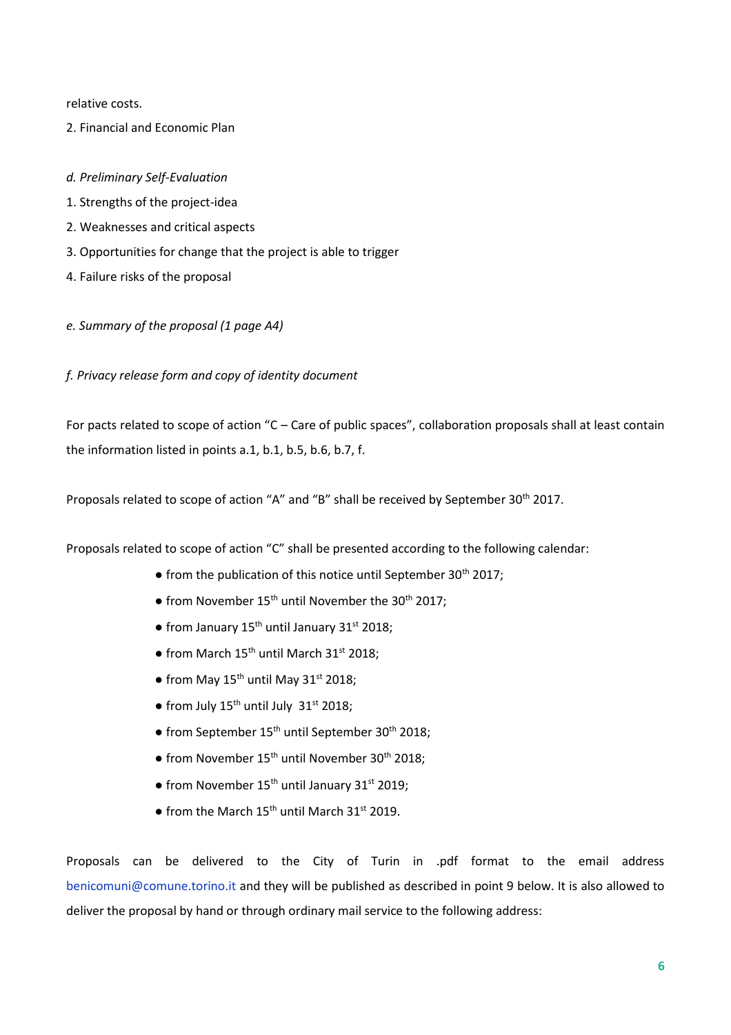relative costs.

2. Financial and Economic Plan

### *d. Preliminary Self-Evaluation*

- 1. Strengths of the project-idea
- 2. Weaknesses and critical aspects
- 3. Opportunities for change that the project is able to trigger
- 4. Failure risks of the proposal
- *e. Summary of the proposal (1 page A4)*

*f. Privacy release form and copy of identity document*

For pacts related to scope of action "C – Care of public spaces", collaboration proposals shall at least contain the information listed in points a.1, b.1, b.5, b.6, b.7, f.

Proposals related to scope of action "A" and "B" shall be received by September 30<sup>th</sup> 2017.

Proposals related to scope of action "C" shall be presented according to the following calendar:

- $\bullet$  from the publication of this notice until September 30<sup>th</sup> 2017;
- from November  $15<sup>th</sup>$  until November the 30<sup>th</sup> 2017;
- $\bullet$  from January 15<sup>th</sup> until January 31<sup>st</sup> 2018;
- $\bullet$  from March 15<sup>th</sup> until March 31<sup>st</sup> 2018;
- from May  $15^{th}$  until May  $31^{st}$  2018:
- from July  $15^{th}$  until July  $31^{st}$  2018;
- $\bullet$  from September 15<sup>th</sup> until September 30<sup>th</sup> 2018;
- $\bullet$  from November 15<sup>th</sup> until November 30<sup>th</sup> 2018;
- from November 15<sup>th</sup> until January 31<sup>st</sup> 2019;
- $\bullet$  from the March 15<sup>th</sup> until March 31<sup>st</sup> 2019.

Proposals can be delivered to the City of Turin in .pdf format to the email address benicomuni@comune.torino.it and they will be published as described in point 9 below. It is also allowed to deliver the proposal by hand or through ordinary mail service to the following address: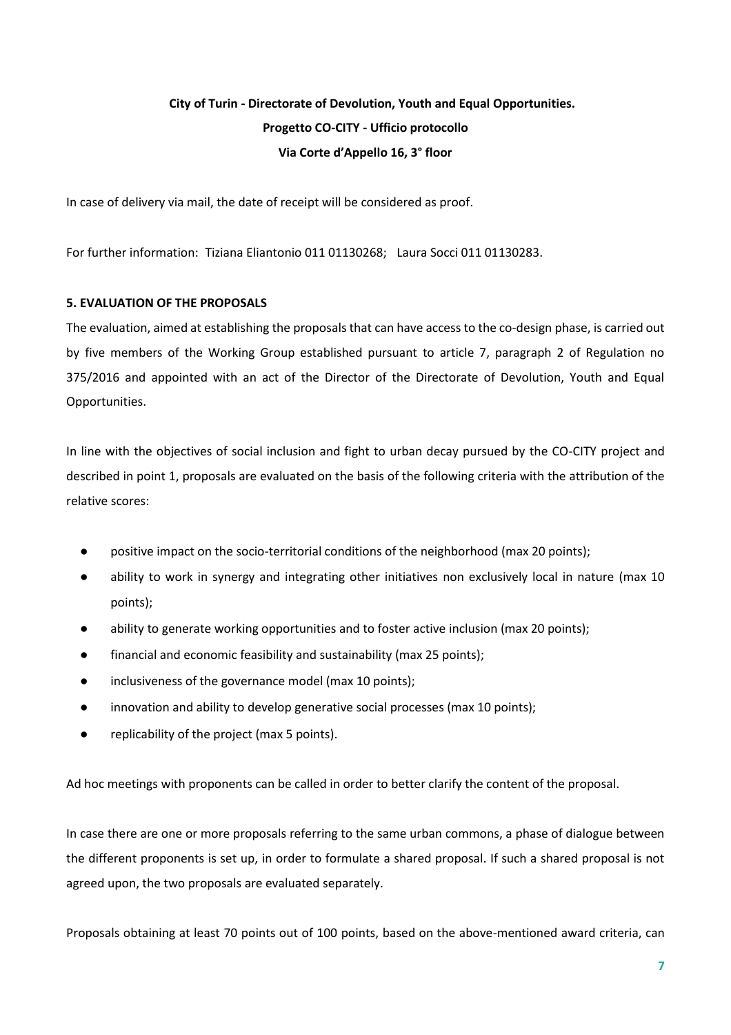# **City of Turin - Directorate of Devolution, Youth and Equal Opportunities. Progetto CO-CITY - Ufficio protocollo Via Corte d'Appello 16, 3° floor**

In case of delivery via mail, the date of receipt will be considered as proof.

For further information: Tiziana Eliantonio 011 01130268; Laura Socci 011 01130283.

## **5. EVALUATION OF THE PROPOSALS**

The evaluation, aimed at establishing the proposals that can have access to the co-design phase, is carried out by five members of the Working Group established pursuant to article 7, paragraph 2 of Regulation no 375/2016 and appointed with an act of the Director of the Directorate of Devolution, Youth and Equal Opportunities.

In line with the objectives of social inclusion and fight to urban decay pursued by the CO-CITY project and described in point 1, proposals are evaluated on the basis of the following criteria with the attribution of the relative scores:

- positive impact on the socio-territorial conditions of the neighborhood (max 20 points);
- ability to work in synergy and integrating other initiatives non exclusively local in nature (max 10 points);
- ability to generate working opportunities and to foster active inclusion (max 20 points);
- financial and economic feasibility and sustainability (max 25 points);
- inclusiveness of the governance model (max 10 points);
- innovation and ability to develop generative social processes (max 10 points);
- replicability of the project (max 5 points).

Ad hoc meetings with proponents can be called in order to better clarify the content of the proposal.

In case there are one or more proposals referring to the same urban commons, a phase of dialogue between the different proponents is set up, in order to formulate a shared proposal. If such a shared proposal is not agreed upon, the two proposals are evaluated separately.

Proposals obtaining at least 70 points out of 100 points, based on the above-mentioned award criteria, can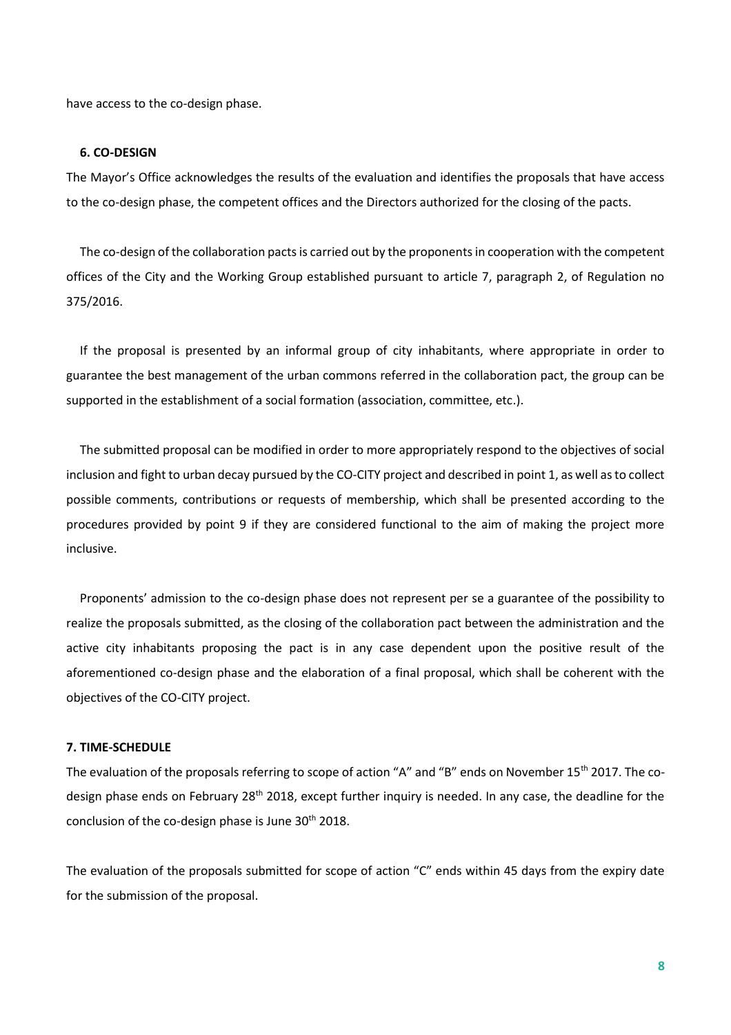have access to the co-design phase.

#### **6. CO-DESIGN**

The Mayor's Office acknowledges the results of the evaluation and identifies the proposals that have access to the co-design phase, the competent offices and the Directors authorized for the closing of the pacts.

The co-design of the collaboration pacts is carried out by the proponents in cooperation with the competent offices of the City and the Working Group established pursuant to article 7, paragraph 2, of Regulation no 375/2016.

If the proposal is presented by an informal group of city inhabitants, where appropriate in order to guarantee the best management of the urban commons referred in the collaboration pact, the group can be supported in the establishment of a social formation (association, committee, etc.).

The submitted proposal can be modified in order to more appropriately respond to the objectives of social inclusion and fight to urban decay pursued by the CO-CITY project and described in point 1, as well as to collect possible comments, contributions or requests of membership, which shall be presented according to the procedures provided by point 9 if they are considered functional to the aim of making the project more inclusive.

Proponents' admission to the co-design phase does not represent per se a guarantee of the possibility to realize the proposals submitted, as the closing of the collaboration pact between the administration and the active city inhabitants proposing the pact is in any case dependent upon the positive result of the aforementioned co-design phase and the elaboration of a final proposal, which shall be coherent with the objectives of the CO-CITY project.

### **7. TIME-SCHEDULE**

The evaluation of the proposals referring to scope of action "A" and "B" ends on November 15<sup>th</sup> 2017. The codesign phase ends on February 28<sup>th</sup> 2018, except further inquiry is needed. In any case, the deadline for the conclusion of the co-design phase is June  $30<sup>th</sup>$  2018.

The evaluation of the proposals submitted for scope of action "C" ends within 45 days from the expiry date for the submission of the proposal.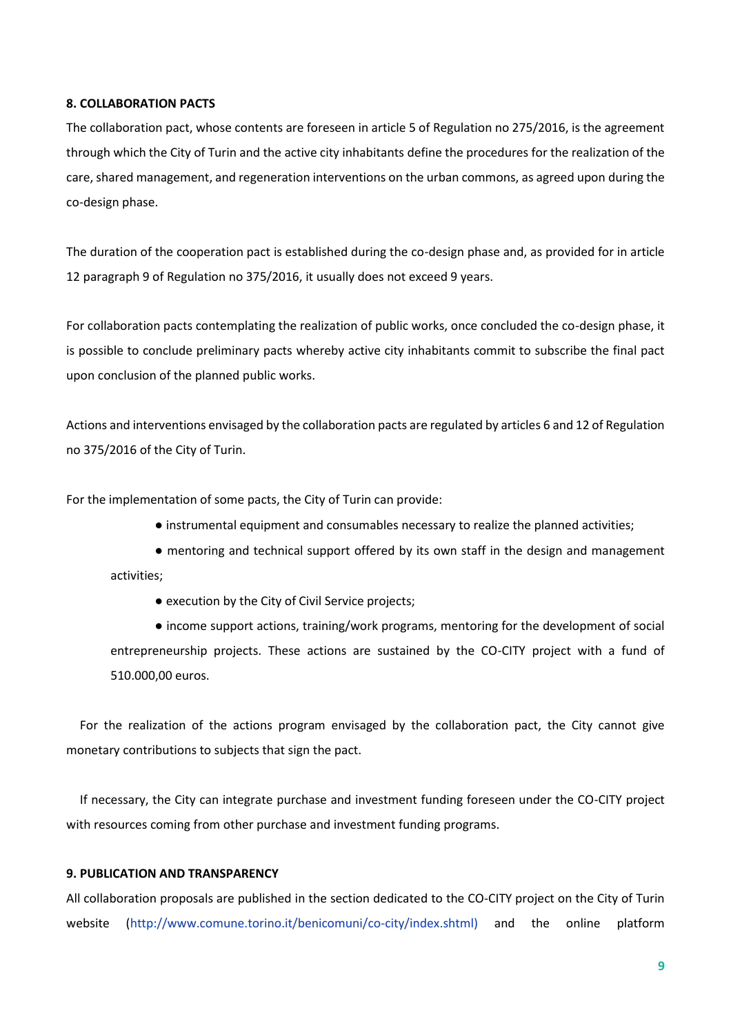#### **8. COLLABORATION PACTS**

The collaboration pact, whose contents are foreseen in article 5 of Regulation no 275/2016, is the agreement through which the City of Turin and the active city inhabitants define the procedures for the realization of the care, shared management, and regeneration interventions on the urban commons, as agreed upon during the co-design phase.

The duration of the cooperation pact is established during the co-design phase and, as provided for in article 12 paragraph 9 of Regulation no 375/2016, it usually does not exceed 9 years.

For collaboration pacts contemplating the realization of public works, once concluded the co-design phase, it is possible to conclude preliminary pacts whereby active city inhabitants commit to subscribe the final pact upon conclusion of the planned public works.

Actions and interventions envisaged by the collaboration pacts are regulated by articles 6 and 12 of Regulation no 375/2016 of the City of Turin.

For the implementation of some pacts, the City of Turin can provide:

● instrumental equipment and consumables necessary to realize the planned activities;

● mentoring and technical support offered by its own staff in the design and management activities;

● execution by the City of Civil Service projects;

● income support actions, training/work programs, mentoring for the development of social entrepreneurship projects. These actions are sustained by the CO-CITY project with a fund of 510.000,00 euros.

For the realization of the actions program envisaged by the collaboration pact, the City cannot give monetary contributions to subjects that sign the pact.

If necessary, the City can integrate purchase and investment funding foreseen under the CO-CITY project with resources coming from other purchase and investment funding programs.

## **9. PUBLICATION AND TRANSPARENCY**

All collaboration proposals are published in the section dedicated to the CO-CITY project on the City of Turin website (http://www.comune.torino.it/benicomuni/co-city/index.shtml) and the online platform